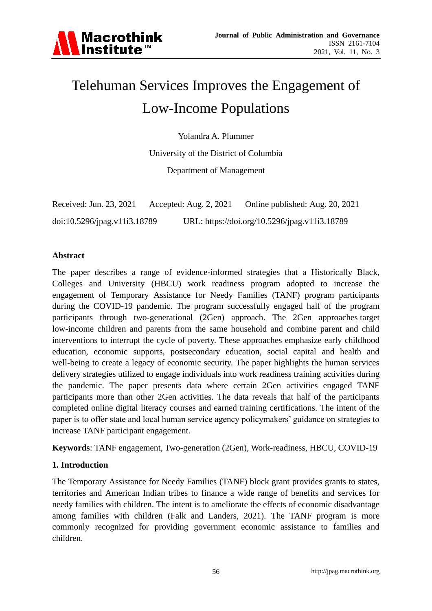

# Telehuman Services Improves the Engagement of Low-Income Populations

Yolandra A. Plummer

University of the District of Columbia

Department of Management

| Received: Jun. 23, 2021      | Accepted: Aug. $2, 2021$ | Online published: Aug. 20, 2021               |
|------------------------------|--------------------------|-----------------------------------------------|
| doi:10.5296/jpag.v11i3.18789 |                          | URL: https://doi.org/10.5296/jpag.v11i3.18789 |

#### **Abstract**

The paper describes a range of evidence-informed strategies that a Historically Black, Colleges and University (HBCU) work readiness program adopted to increase the engagement of Temporary Assistance for Needy Families (TANF) program participants during the COVID-19 pandemic. The program successfully engaged half of the program participants through two-generational (2Gen) approach. The 2Gen approaches target low-income children and parents from the same household and combine parent and child interventions to interrupt the cycle of poverty. These approaches emphasize early childhood education, economic supports, postsecondary education, social capital and health and well-being to create a legacy of economic security. The paper highlights the human services delivery strategies utilized to engage individuals into work readiness training activities during the pandemic. The paper presents data where certain 2Gen activities engaged TANF participants more than other 2Gen activities. The data reveals that half of the participants completed online digital literacy courses and earned training certifications. The intent of the paper is to offer state and local human service agency policymakers' guidance on strategies to increase TANF participant engagement.

**Keywords**: TANF engagement, Two-generation (2Gen), Work-readiness, HBCU, COVID-19

## **1. Introduction**

The Temporary Assistance for Needy Families (TANF) block grant provides grants to states, territories and American Indian tribes to finance a wide range of benefits and services for needy families with children. The intent is to ameliorate the effects of economic disadvantage among families with children (Falk and Landers, 2021). The TANF program is more commonly recognized for providing government economic assistance to families and children.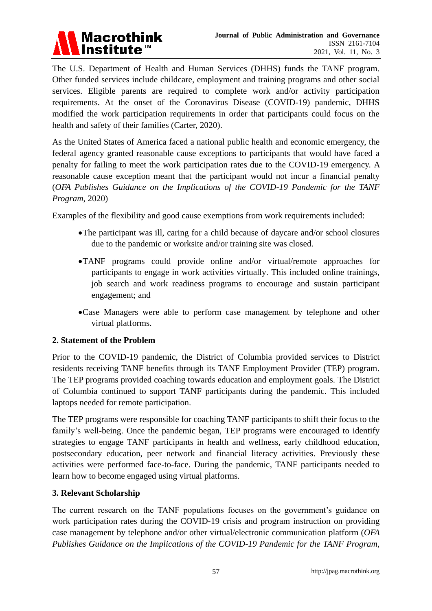

The U.S. Department of Health and Human Services (DHHS) funds the TANF program. Other funded services include childcare, employment and training programs and other social services. Eligible parents are required to complete work and/or activity participation requirements. At the onset of the Coronavirus Disease (COVID-19) pandemic, DHHS modified the work participation requirements in order that participants could focus on the health and safety of their families (Carter, 2020).

As the United States of America faced a national public health and economic emergency, the federal agency granted reasonable cause exceptions to participants that would have faced a penalty for failing to meet the work participation rates due to the COVID-19 emergency. A reasonable cause exception meant that the participant would not incur a financial penalty (*OFA Publishes Guidance on the Implications of the COVID-19 Pandemic for the TANF Program*, 2020)

Examples of the flexibility and good cause exemptions from work requirements included:

- The participant was ill, caring for a child because of daycare and/or school closures due to the pandemic or worksite and/or training site was closed.
- TANF programs could provide online and/or virtual/remote approaches for participants to engage in work activities virtually. This included online trainings, job search and work readiness programs to encourage and sustain participant engagement; and
- Case Managers were able to perform case management by telephone and other virtual platforms.

## **2. Statement of the Problem**

Prior to the COVID-19 pandemic, the District of Columbia provided services to District residents receiving TANF benefits through its TANF Employment Provider (TEP) program. The TEP programs provided coaching towards education and employment goals. The District of Columbia continued to support TANF participants during the pandemic. This included laptops needed for remote participation.

The TEP programs were responsible for coaching TANF participants to shift their focus to the family's well-being. Once the pandemic began, TEP programs were encouraged to identify strategies to engage TANF participants in health and wellness, early childhood education, postsecondary education, peer network and financial literacy activities. Previously these activities were performed face-to-face. During the pandemic, TANF participants needed to learn how to become engaged using virtual platforms.

#### **3. Relevant Scholarship**

The current research on the TANF populations focuses on the government's guidance on work participation rates during the COVID-19 crisis and program instruction on providing case management by telephone and/or other virtual/electronic communication platform (*OFA Publishes Guidance on the Implications of the COVID-19 Pandemic for the TANF Program*,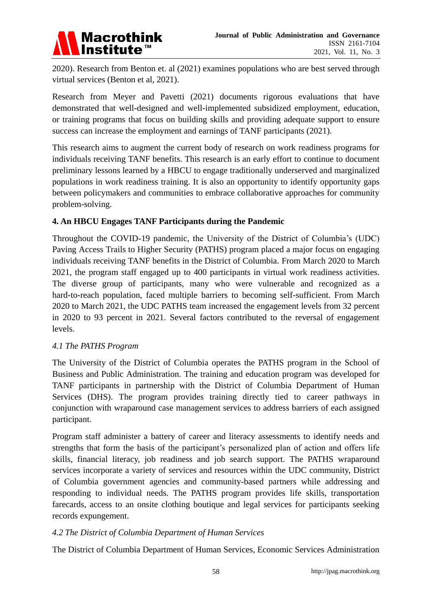

2020). Research from Benton et. al (2021) examines populations who are best served through virtual services (Benton et al, 2021).

Research from Meyer and Pavetti (2021) documents rigorous evaluations that have demonstrated that well-designed and well-implemented subsidized employment, education, or training programs that focus on building skills and providing adequate support to ensure success can increase the employment and earnings of TANF participants (2021).

This research aims to augment the current body of research on work readiness programs for individuals receiving TANF benefits. This research is an early effort to continue to document preliminary lessons learned by a HBCU to engage traditionally underserved and marginalized populations in work readiness training. It is also an opportunity to identify opportunity gaps between policymakers and communities to embrace collaborative approaches for community problem-solving.

# **4. An HBCU Engages TANF Participants during the Pandemic**

Throughout the COVID-19 pandemic, the University of the District of Columbia's (UDC) Paving Access Trails to Higher Security (PATHS) program placed a major focus on engaging individuals receiving TANF benefits in the District of Columbia. From March 2020 to March 2021, the program staff engaged up to 400 participants in virtual work readiness activities. The diverse group of participants, many who were vulnerable and recognized as a hard-to-reach population, faced multiple barriers to becoming self-sufficient. From March 2020 to March 2021, the UDC PATHS team increased the engagement levels from 32 percent in 2020 to 93 percent in 2021. Several factors contributed to the reversal of engagement levels.

## *4.1 The PATHS Program*

The University of the District of Columbia operates the PATHS program in the School of Business and Public Administration. The training and education program was developed for TANF participants in partnership with the District of Columbia Department of Human Services (DHS). The program provides training directly tied to career pathways in conjunction with wraparound case management services to address barriers of each assigned participant.

Program staff administer a battery of career and literacy assessments to identify needs and strengths that form the basis of the participant's personalized plan of action and offers life skills, financial literacy, job readiness and job search support. The PATHS wraparound services incorporate a variety of services and resources within the UDC community, District of Columbia government agencies and community-based partners while addressing and responding to individual needs. The PATHS program provides life skills, transportation farecards, access to an onsite clothing boutique and legal services for participants seeking records expungement.

## *4.2 The District of Columbia Department of Human Services*

The District of Columbia Department of Human Services, Economic Services Administration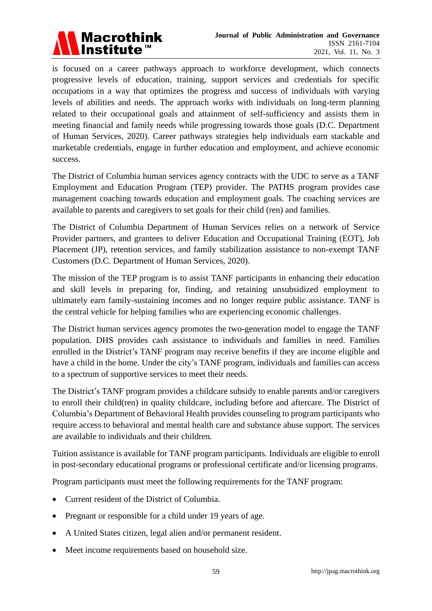

is focused on a career pathways approach to workforce development, which connects progressive levels of education, training, support services and credentials for specific occupations in a way that optimizes the progress and success of individuals with varying levels of abilities and needs. The approach works with individuals on long-term planning related to their occupational goals and attainment of self-sufficiency and assists them in meeting financial and family needs while progressing towards those goals (D.C. Department of Human Services, 2020). Career pathways strategies help individuals earn stackable and marketable credentials, engage in further education and employment, and achieve economic success.

The District of Columbia human services agency contracts with the UDC to serve as a TANF Employment and Education Program (TEP) provider. The PATHS program provides case management coaching towards education and employment goals. The coaching services are available to parents and caregivers to set goals for their child (ren) and families.

The District of Columbia Department of Human Services relies on a network of Service Provider partners, and grantees to deliver Education and Occupational Training (EOT), Job Placement (JP), retention services, and family stabilization assistance to non-exempt TANF Customers (D.C. Department of Human Services, 2020).

The mission of the TEP program is to assist TANF participants in enhancing their education and skill levels in preparing for, finding, and retaining unsubsidized employment to ultimately earn family-sustaining incomes and no longer require public assistance. TANF is the central vehicle for helping families who are experiencing economic challenges.

The District human services agency promotes the two-generation model to engage the TANF population. DHS provides cash assistance to individuals and families in need. Families enrolled in the District's TANF program may receive benefits if they are income eligible and have a child in the home. Under the city's TANF program, individuals and families can access to a spectrum of supportive services to meet their needs.

The District's TANF program provides a childcare subsidy to enable parents and/or caregivers to enroll their child(ren) in quality childcare, including before and aftercare. The District of Columbia's Department of Behavioral Health provides counseling to program participants who require access to behavioral and mental health care and substance abuse support. The services are available to individuals and their children.

Tuition assistance is available for TANF program participants. Individuals are eligible to enroll in post-secondary educational programs or professional certificate and/or licensing programs.

Program participants must meet the following requirements for the TANF program:

- Current resident of the District of Columbia.
- Pregnant or responsible for a child under 19 years of age.
- A United States citizen, legal alien and/or permanent resident.
- Meet income requirements based on household size.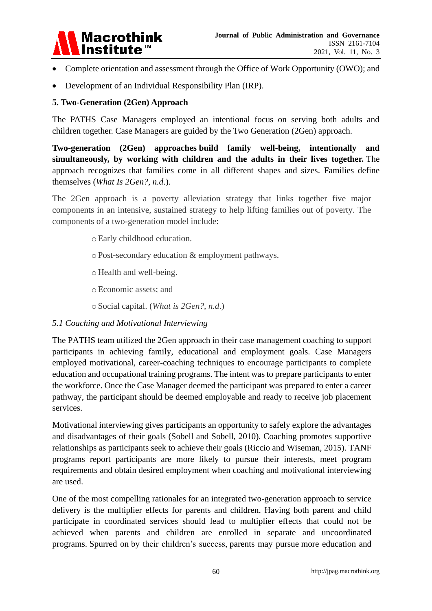

- Complete orientation and assessment through the Office of Work Opportunity (OWO); and
- Development of an Individual Responsibility Plan (IRP).

#### **5. Two-Generation (2Gen) Approach**

The PATHS Case Managers employed an intentional focus on serving both adults and children together. Case Managers are guided by the Two Generation (2Gen) approach.

**Two-generation (2Gen) approaches build family well-being, intentionally and simultaneously, by working with children and the adults in their lives together.** The approach recognizes that families come in all different shapes and sizes. Families define themselves (*What Is 2Gen?*, *n.d*.).

The 2Gen approach is a poverty alleviation strategy that links together five major components in an intensive, sustained strategy to help lifting families out of poverty. The components of a two-generation model include:

- oEarly childhood education.
- o Post-secondary education & employment pathways.
- o Health and well-being.
- oEconomic assets; and
- o Social capital. (*What is 2Gen?, n.d*.)

#### *5.1 Coaching and Motivational Interviewing*

The PATHS team utilized the 2Gen approach in their case management coaching to support participants in achieving family, educational and employment goals. Case Managers employed motivational, career-coaching techniques to encourage participants to complete education and occupational training programs. The intent was to prepare participants to enter the workforce. Once the Case Manager deemed the participant was prepared to enter a career pathway, the participant should be deemed employable and ready to receive job placement services.

Motivational interviewing gives participants an opportunity to safely explore the advantages and disadvantages of their goals (Sobell and Sobell, 2010). Coaching promotes supportive relationships as participants seek to achieve their goals (Riccio and Wiseman, 2015). TANF programs report participants are more likely to pursue their interests, meet program requirements and obtain desired employment when coaching and motivational interviewing are used.

One of the most compelling rationales for an integrated two-generation approach to service delivery is the multiplier effects for parents and children. Having both parent and child participate in coordinated services should lead to multiplier effects that could not be achieved when parents and children are enrolled in separate and uncoordinated programs. [Spurred on](https://www.urban.org/research/publication/making-two-generation-model-work-real-world) by their children's success, [parents may pursue](https://eric.ed.gov/?id=EJ1001988) more education and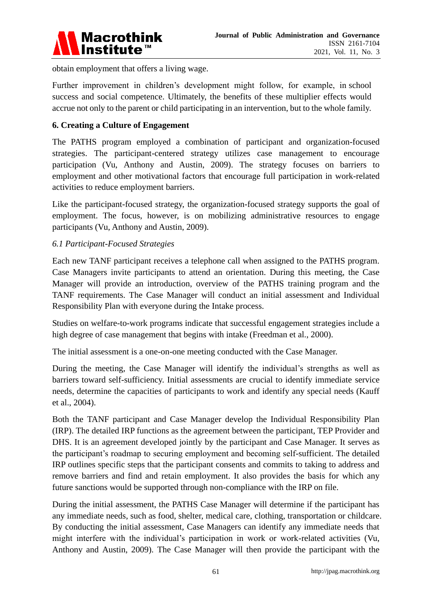

obtain employment that offers a living wage.

Further improvement in children's development might follow, for example, in [school](https://www.ncbi.nlm.nih.gov/pubmed/20331669)  [success and social competence.](https://www.ncbi.nlm.nih.gov/pubmed/20331669) Ultimately, the benefits of these multiplier effects would accrue not only to the parent or child participating in an intervention, but to the whole family.

# **6. Creating a Culture of Engagement**

The PATHS program employed a combination of participant and organization-focused strategies. The participant-centered strategy utilizes case management to encourage participation (Vu, Anthony and Austin, 2009). The strategy focuses on barriers to employment and other motivational factors that encourage full participation in work-related activities to reduce employment barriers.

Like the participant-focused strategy, the organization-focused strategy supports the goal of employment. The focus, however, is on mobilizing administrative resources to engage participants (Vu, Anthony and Austin, 2009).

## *6.1 Participant-Focused Strategies*

Each new TANF participant receives a telephone call when assigned to the PATHS program. Case Managers invite participants to attend an orientation. During this meeting, the Case Manager will provide an introduction, overview of the PATHS training program and the TANF requirements. The Case Manager will conduct an initial assessment and Individual Responsibility Plan with everyone during the Intake process.

Studies on welfare-to-work programs indicate that successful engagement strategies include a high degree of case management that begins with intake (Freedman et al., 2000).

The initial assessment is a one-on-one meeting conducted with the Case Manager.

During the meeting, the Case Manager will identify the individual's strengths as well as barriers toward self-sufficiency. Initial assessments are crucial to identify immediate service needs, determine the capacities of participants to work and identify any special needs (Kauff et al., 2004).

Both the TANF participant and Case Manager develop the Individual Responsibility Plan (IRP). The detailed IRP functions as the agreement between the participant, TEP Provider and DHS. It is an agreement developed jointly by the participant and Case Manager. It serves as the participant's roadmap to securing employment and becoming self-sufficient. The detailed IRP outlines specific steps that the participant consents and commits to taking to address and remove barriers and find and retain employment. It also provides the basis for which any future sanctions would be supported through non-compliance with the IRP on file.

During the initial assessment, the PATHS Case Manager will determine if the participant has any immediate needs, such as food, shelter, medical care, clothing, transportation or childcare. By conducting the initial assessment, Case Managers can identify any immediate needs that might interfere with the individual's participation in work or work-related activities (Vu, Anthony and Austin, 2009). The Case Manager will then provide the participant with the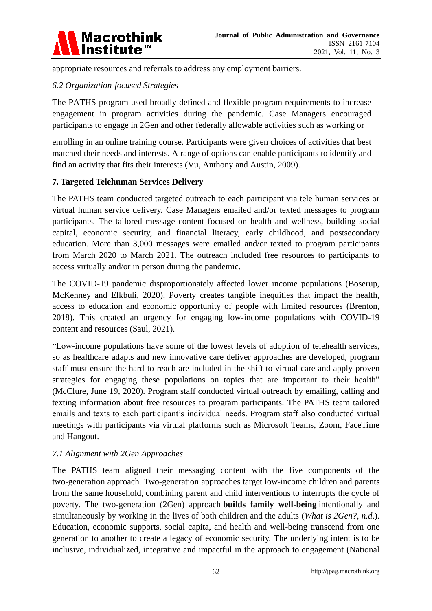

appropriate resources and referrals to address any employment barriers.

# *6.2 Organization-focused Strategies*

The PATHS program used broadly defined and flexible program requirements to increase engagement in program activities during the pandemic. Case Managers encouraged participants to engage in 2Gen and other federally allowable activities such as working or

enrolling in an online training course. Participants were given choices of activities that best matched their needs and interests. A range of options can enable participants to identify and find an activity that fits their interests (Vu, Anthony and Austin, 2009).

## **7. Targeted Telehuman Services Delivery**

The PATHS team conducted targeted outreach to each participant via tele human services or virtual human service delivery. Case Managers emailed and/or texted messages to program participants. The tailored message content focused on health and wellness, building social capital, economic security, and financial literacy, early childhood, and postsecondary education. More than 3,000 messages were emailed and/or texted to program participants from March 2020 to March 2021. The outreach included free resources to participants to access virtually and/or in person during the pandemic.

The COVID-19 pandemic disproportionately affected lower income populations (Boserup, McKenney and Elkbuli, 2020). Poverty creates tangible inequities that impact the health, access to education and economic opportunity of people with limited resources (Brenton, 2018). This created an urgency for engaging low-income populations with COVID-19 content and resources (Saul, 2021).

"Low-income populations have some of the lowest levels of adoption of telehealth services, so as healthcare adapts and new innovative care deliver approaches are developed, program staff must ensure the hard-to-reach are included in the shift to virtual care and apply proven strategies for engaging these populations on topics that are important to their health" (McClure, June 19, 2020). Program staff conducted virtual outreach by emailing, calling and texting information about free resources to program participants. The PATHS team tailored emails and texts to each participant's individual needs. Program staff also conducted virtual meetings with participants via virtual platforms such as Microsoft Teams, Zoom, FaceTime and Hangout.

## *7.1 Alignment with 2Gen Approaches*

The PATHS team aligned their messaging content with the five components of the two-generation approach. [Two-generation approaches](https://www.ncbi.nlm.nih.gov/pubmed/25518701) target low-income children and parents from the same household, [combining parent and child interventions](https://www.ncbi.nlm.nih.gov/pubmed/25518700) to interrupts the cycle of poverty. The two-generation (2Gen) approach **builds family well-being** intentionally and simultaneously by working in the lives of both children and the adults (*What is 2Gen?, n.d*.). Education, economic supports, social capita, and health and well-being transcend from one generation to another to create a legacy of economic security. The underlying intent is to be inclusive, individualized, integrative and impactful in the approach to engagement (National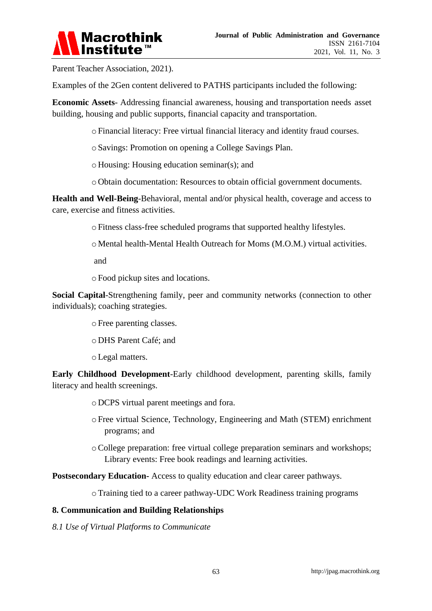

Parent Teacher Association, 2021).

Examples of the 2Gen content delivered to PATHS participants included the following:

**Economic Assets**- Addressing financial awareness, housing and transportation needs asset building, housing and public supports, financial capacity and transportation.

o Financial literacy: Free virtual financial literacy and identity fraud courses.

- o Savings: Promotion on opening a College Savings Plan.
- o Housing: Housing education seminar(s); and
- o Obtain documentation: Resources to obtain official government documents.

**Health and Well-Being**-Behavioral, mental and/or physical health, coverage and access to care, exercise and fitness activities.

o Fitness class-free scheduled programs that supported healthy lifestyles.

o Mental health-Mental Health Outreach for Moms (M.O.M.) virtual activities.

and

o Food pickup sites and locations.

**Social Capital**-Strengthening family, peer and community networks (connection to other individuals); coaching strategies.

o Free parenting classes.

- o DHS Parent Café; and
- oLegal matters.

**Early Childhood Development**-Early childhood development, parenting skills, family literacy and health screenings.

o DCPS virtual parent meetings and fora.

- o Free virtual Science, Technology, Engineering and Math (STEM) enrichment programs; and
- oCollege preparation: free virtual college preparation seminars and workshops; Library events: Free book readings and learning activities.

**Postsecondary Education-** Access to quality education and clear career pathways.

oTraining tied to a career pathway-UDC Work Readiness training programs

#### **8. Communication and Building Relationships**

*8.1 Use of Virtual Platforms to Communicate*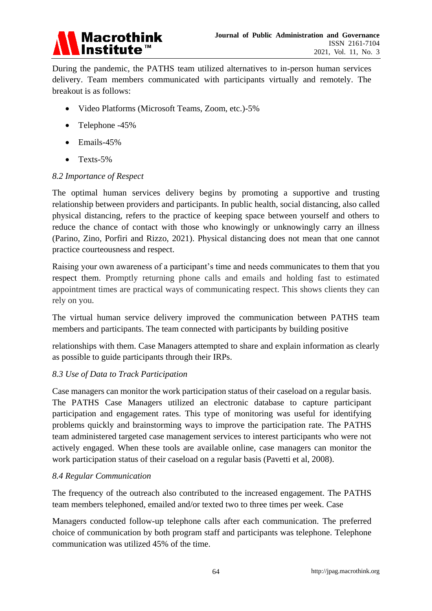

During the pandemic, the PATHS team utilized alternatives to in-person human services delivery. Team members communicated with participants virtually and remotely. The breakout is as follows:

- Video Platforms (Microsoft Teams, Zoom, etc.)-5%
- Telephone -45%
- Emails-45%
- $\bullet$  Texts-5%

#### *8.2 Importance of Respect*

The optimal human services delivery begins by promoting a supportive and trusting relationship between providers and participants. In public health, social distancing, also called physical distancing, refers to the practice of keeping space between yourself and others to reduce the chance of contact with those who knowingly or unknowingly carry an illness (Parino, Zino, Porfiri and Rizzo, 2021). Physical distancing does not mean that one cannot practice courteousness and respect.

Raising your own awareness of a participant's time and needs communicates to them that you respect them. Promptly returning phone calls and emails and holding fast to estimated appointment times are practical ways of communicating respect. This shows clients they can rely on you.

The virtual human service delivery improved the communication between PATHS team members and participants. The team connected with participants by building positive

relationships with them. Case Managers attempted to share and explain information as clearly as possible to guide participants through their IRPs.

## *8.3 Use of Data to Track Participation*

Case managers can monitor the work participation status of their caseload on a regular basis. The PATHS Case Managers utilized an electronic database to capture participant participation and engagement rates. This type of monitoring was useful for identifying problems quickly and brainstorming ways to improve the participation rate. The PATHS team administered targeted case management services to interest participants who were not actively engaged. When these tools are available online, case managers can monitor the work participation status of their caseload on a regular basis (Pavetti et al, 2008).

## *8.4 Regular Communication*

The frequency of the outreach also contributed to the increased engagement. The PATHS team members telephoned, emailed and/or texted two to three times per week. Case

Managers conducted follow-up telephone calls after each communication. The preferred choice of communication by both program staff and participants was telephone. Telephone communication was utilized 45% of the time.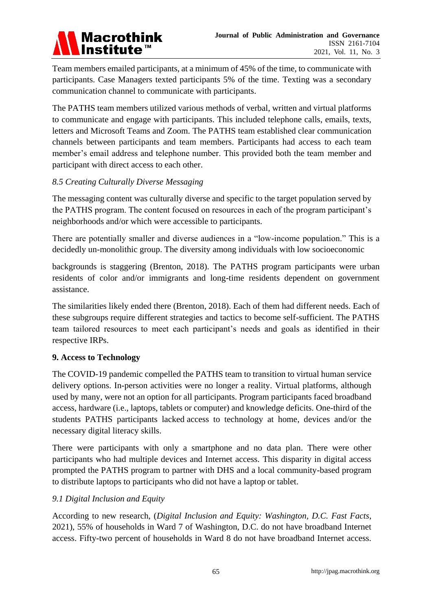

Team members emailed participants, at a minimum of 45% of the time, to communicate with participants. Case Managers texted participants 5% of the time. Texting was a secondary communication channel to communicate with participants.

The PATHS team members utilized various methods of verbal, written and virtual platforms to communicate and engage with participants. This included telephone calls, emails, texts, letters and Microsoft Teams and Zoom. The PATHS team established clear communication channels between participants and team members. Participants had access to each team member's email address and telephone number. This provided both the team member and participant with direct access to each other.

## *8.5 Creating Culturally Diverse Messaging*

The messaging content was culturally diverse and specific to the target population served by the PATHS program. The content focused on resources in each of the program participant's neighborhoods and/or which were accessible to participants.

There are potentially smaller and diverse audiences in a "low-income population." This is a decidedly un-monolithic group. The diversity among individuals with low socioeconomic

backgrounds is staggering (Brenton, 2018). The PATHS program participants were urban residents of color and/or immigrants and long-time residents dependent on government assistance.

The similarities likely ended there (Brenton, 2018). Each of them had different needs. Each of these subgroups require different strategies and tactics to become self-sufficient. The PATHS team tailored resources to meet each participant's needs and goals as identified in their respective IRPs.

## **9. Access to Technology**

The COVID-19 pandemic compelled the PATHS team to transition to virtual human service delivery options. In-person activities were no longer a reality. Virtual platforms, although used by many, were not an option for all participants. Program participants faced broadband access, hardware (i.e., laptops, tablets or computer) and knowledge deficits. One-third of the students PATHS participants lacked [access to technology at home,](https://www.goguardian.com/blog/learning/remote-learning-strategies-for-students-with-limited-at-home-technology/) devices and/or the necessary digital literacy skills.

There were participants with only a smartphone and no data plan. There were other participants who had multiple devices and Internet access. This disparity in digital access prompted the PATHS program to partner with DHS and a local community-based program to distribute laptops to participants who did not have a laptop or tablet.

## *9.1 Digital Inclusion and Equity*

According to new research, (*Digital Inclusion and Equity: Washington, D.C. Fast Facts*, 2021), 55% of households in Ward 7 of Washington, D.C. do not have broadband Internet access. Fifty-two percent of households in Ward 8 do not have broadband Internet access.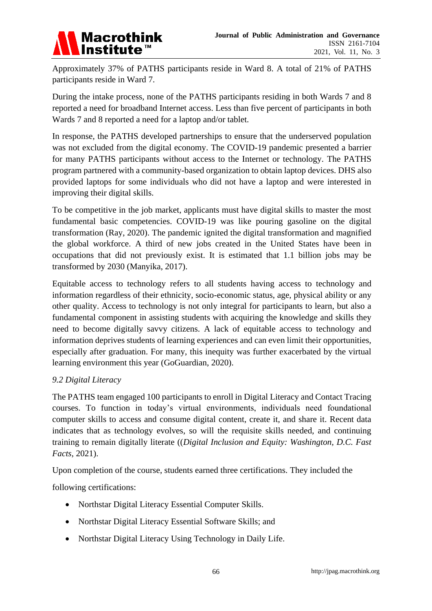

Approximately 37% of PATHS participants reside in Ward 8. A total of 21% of PATHS participants reside in Ward 7.

During the intake process, none of the PATHS participants residing in both Wards 7 and 8 reported a need for broadband Internet access. Less than five percent of participants in both Wards 7 and 8 reported a need for a laptop and/or tablet.

In response, the PATHS developed partnerships to ensure that the underserved population was not excluded from the digital economy. The COVID-19 pandemic presented a barrier for many PATHS participants without access to the Internet or technology. The PATHS program partnered with a community-based organization to obtain laptop devices. DHS also provided laptops for some individuals who did not have a laptop and were interested in improving their digital skills.

To be competitive in the job market, applicants must have digital skills to master the most fundamental basic competencies. COVID-19 was like pouring gasoline on the digital transformation (Ray, 2020). The pandemic ignited the digital transformation and magnified the global workforce. A third of new jobs created in the United States have been in occupations that did not previously exist. It is estimated that 1.1 billion jobs may be transformed by 2030 (Manyika, 2017).

Equitable access to technology refers to all students having access to technology and information regardless of their ethnicity, socio-economic status, age, physical ability or any other quality. Access to technology is not only integral for participants to learn, but also a fundamental component in assisting students with acquiring the knowledge and skills they need to become digitally savvy citizens. A lack of equitable access to technology and information deprives students of learning experiences and can even limit their opportunities, especially after graduation. For many, this inequity was further exacerbated by the virtual learning environment this year (GoGuardian, 2020).

# *9.2 Digital Literacy*

The PATHS team engaged 100 participants to enroll in Digital Literacy and Contact Tracing courses. To function in today's virtual environments, individuals need foundational computer skills to access and consume digital content, create it, and share it. Recent data indicates that as technology evolves, so will the requisite skills needed, and continuing training to remain digitally literate ((*Digital Inclusion and Equity: Washington, D.C. Fast Facts*, 2021).

Upon completion of the course, students earned three certifications. They included the

following certifications:

- Northstar Digital Literacy Essential Computer Skills.
- Northstar Digital Literacy Essential Software Skills; and
- Northstar Digital Literacy Using Technology in Daily Life.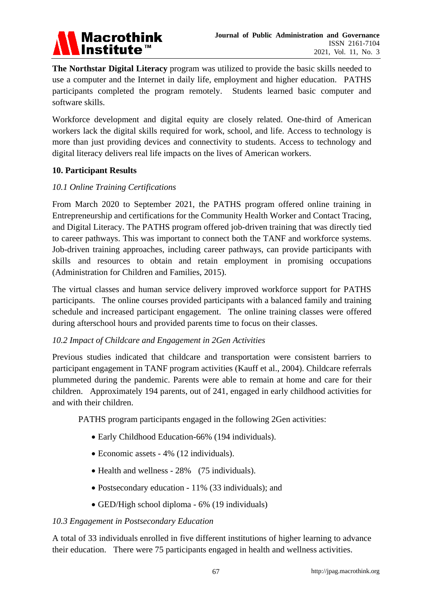

**The Northstar Digital Literacy** program was utilized to provide the basic skills needed to use a computer and the Internet in daily life, employment and higher education. PATHS participants completed the program remotely. Students learned basic computer and software skills.

Workforce development and digital equity are closely related. One-third of American workers lack the digital skills required for work, school, and life. Access to technology is more than just providing devices and connectivity to students. Access to technology and digital literacy delivers real life impacts on the lives of American workers.

## **10. Participant Results**

#### *10.1 Online Training Certifications*

From March 2020 to September 2021, the PATHS program offered online training in Entrepreneurship and certifications for the Community Health Worker and Contact Tracing, and Digital Literacy. The PATHS program offered job-driven training that was directly tied to career pathways. This was important to connect both the TANF and workforce systems. Job-driven training approaches, including career pathways, can provide participants with skills and resources to obtain and retain employment in promising occupations (Administration for Children and Families, 2015).

The virtual classes and human service delivery improved workforce support for PATHS participants. The online courses provided participants with a balanced family and training schedule and increased participant engagement. The online training classes were offered during afterschool hours and provided parents time to focus on their classes.

## *10.2 Impact of Childcare and Engagement in 2Gen Activities*

Previous studies indicated that childcare and transportation were consistent barriers to participant engagement in TANF program activities (Kauff et al., 2004). Childcare referrals plummeted during the pandemic. Parents were able to remain at home and care for their children. Approximately 194 parents, out of 241, engaged in early childhood activities for and with their children.

PATHS program participants engaged in the following 2Gen activities:

- Early Childhood Education-66% (194 individuals).
- Economic assets 4% (12 individuals).
- Health and wellness 28% (75 individuals).
- Postsecondary education 11% (33 individuals); and
- GED/High school diploma 6% (19 individuals)

#### *10.3 Engagement in Postsecondary Education*

A total of 33 individuals enrolled in five different institutions of higher learning to advance their education. There were 75 participants engaged in health and wellness activities.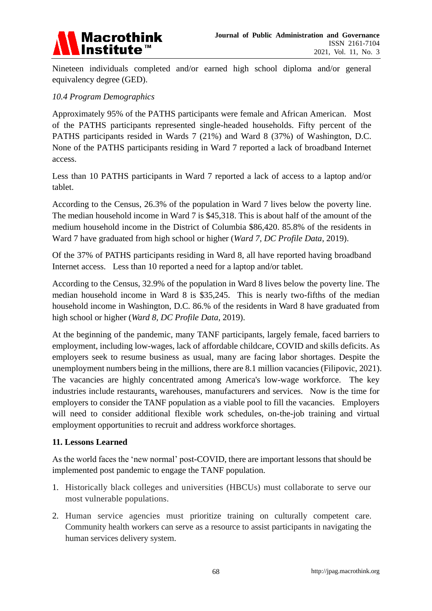

Nineteen individuals completed and/or earned high school diploma and/or general equivalency degree (GED).

#### *10.4 Program Demographics*

Approximately 95% of the PATHS participants were female and African American. Most of the PATHS participants represented single-headed households. Fifty percent of the PATHS participants resided in Wards 7 (21%) and Ward 8 (37%) of Washington, D.C. None of the PATHS participants residing in Ward 7 reported a lack of broadband Internet access.

Less than 10 PATHS participants in Ward 7 reported a lack of access to a laptop and/or tablet.

According to the Census, 26.3% of the population in Ward 7 lives below the poverty line. The median household income in Ward 7 is \$45,318. This is about half of the amount of the medium household income in the District of Columbia \$86,420. 85.8% of the residents in Ward 7 have graduated from high school or higher (*Ward 7, DC Profile Data*, 2019).

Of the 37% of PATHS participants residing in Ward 8, all have reported having broadband Internet access. Less than 10 reported a need for a laptop and/or tablet.

According to the Census, 32.9% of the population in Ward 8 lives below the poverty line. The median household income in Ward 8 is \$35,245. This is nearly two-fifths of the median household income in Washington, D.C. 86.% of the residents in Ward 8 have graduated from high school or higher (*Ward 8, DC Profile Data*, 2019).

At the beginning of the pandemic, many TANF participants, largely female, faced barriers to employment, including low-wages, lack of affordable childcare, COVID and skills deficits. As employers seek to resume business as usual, many are facing labor shortages. Despite the unemployment numbers being in the millions, there are 8.1 million vacancies (Filipovic, 2021). The vacancies are highly concentrated among America's low-wage workforce. The key industries include restaurants, warehouses, manufacturers and services. Now is the time for employers to consider the TANF population as a viable pool to fill the vacancies. Employers will need to consider additional flexible work schedules, on-the-job training and virtual employment opportunities to recruit and address workforce shortages.

#### **11. Lessons Learned**

As the world faces the 'new normal' post-COVID, there are important lessons that should be implemented post pandemic to engage the TANF population.

- 1. Historically black colleges and universities (HBCUs) must collaborate to serve our most vulnerable populations.
- 2. Human service agencies must prioritize training on culturally competent care. Community health workers can serve as a resource to assist participants in navigating the human services delivery system.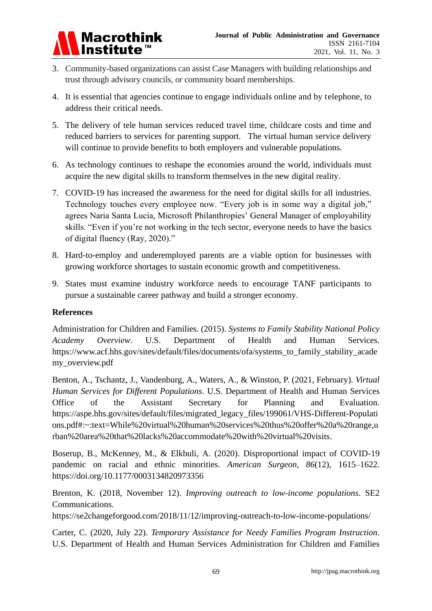

- 3. Community-based organizations can assist Case Managers with building relationships and trust through advisory councils, or community board memberships.
- 4. It is essential that agencies continue to engage individuals online and by telephone, to address their critical needs.
- 5. The delivery of tele human services reduced travel time, childcare costs and time and reduced barriers to services for parenting support. The virtual human service delivery will continue to provide benefits to both employers and vulnerable populations.
- 6. As technology continues to reshape the economies around the world, individuals must acquire the new digital skills to transform themselves in the new digital reality.
- 7. COVID-19 has increased the awareness for the need for digital skills for all industries. Technology touches every employee now. "Every job is in some way a digital job," agrees Naria Santa Lucia, Microsoft Philanthropies' General Manager of employability skills. "Even if you're not working in the tech sector, everyone needs to have the basics of digital fluency (Ray, 2020)."
- 8. Hard-to-employ and underemployed parents are a viable option for businesses with growing workforce shortages to sustain economic growth and competitiveness.
- 9. States must examine industry workforce needs to encourage TANF participants to pursue a sustainable career pathway and build a stronger economy.

## **References**

Administration for Children and Families. (2015). *Systems to Family Stability National Policy Academy Overview*. U.S. Department of Health and Human Services. https://www.acf.hhs.gov/sites/default/files/documents/ofa/systems\_to\_family\_stability\_acade my\_overview.pdf

Benton, A., Tschantz, J., Vandenburg, A., Waters, A., & Winston, P. (2021, February). *Virtual Human Services for Different Populations*. U.S. Department of Health and Human Services Office of the Assistant Secretary for Planning and Evaluation. [https://aspe.hhs.gov/sites/default/files/migrated\\_legacy\\_files/199061/VHS-Different-Populati](https://aspe.hhs.gov/sites/default/files/migrated_legacy_files/199061/VHS-Different-Populations.pdf#:~:text=While%20virtual%20human%20services%20thus%20offer%20a%20range,urban%20area%20that%20lacks%20accommodate%20with%20virtual%20visits) [ons.pdf#:~:text=While%20virtual%20human%20services%20thus%20offer%20a%20range,u](https://aspe.hhs.gov/sites/default/files/migrated_legacy_files/199061/VHS-Different-Populations.pdf#:~:text=While%20virtual%20human%20services%20thus%20offer%20a%20range,urban%20area%20that%20lacks%20accommodate%20with%20virtual%20visits) [rban%20area%20that%20lacks%20accommodate%20with%20virtual%20visits.](https://aspe.hhs.gov/sites/default/files/migrated_legacy_files/199061/VHS-Different-Populations.pdf#:~:text=While%20virtual%20human%20services%20thus%20offer%20a%20range,urban%20area%20that%20lacks%20accommodate%20with%20virtual%20visits)

Boserup, B., McKenney, M., & Elkbuli, A. (2020). Disproportional impact of COVID-19 pandemic on racial and ethnic minorities. *American Surgeon*, *86*(12), 1615–1622. <https://doi.org/10.1177/0003134820973356>

Brenton, K. (2018, November 12). *Improving outreach to low-income populations*. SE2 Communications.

[https://se2changeforgood.com/2018/11/12/improving-outreach-to-low-](https://se2changeforgood.com/2018/11/12/improving-outreach-to-low)income-populations/

Carter, C. (2020, July 22). *Temporary Assistance for Needy Families Program Instruction*. U.S. Department of Health and Human Services Administration for Children and Families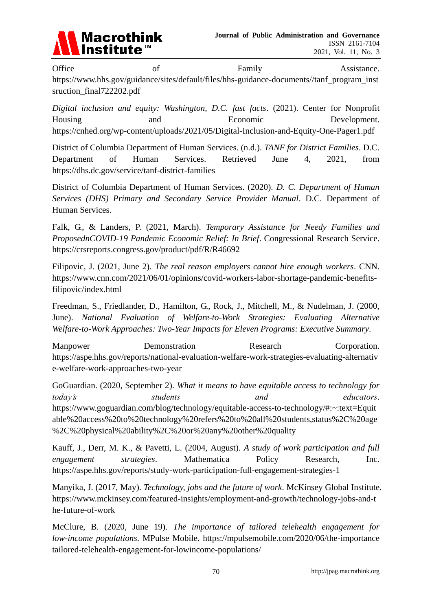

Office of Family Assistance. [https://www.hhs.gov/guidance/sites/default/files/hhs-guidance-](https://www.hhs.gov/guidance/sites/default/files/hhs-guidance)documents//tanf\_program\_inst sruction\_final722202.pdf

*Digital inclusion and equity: Washington, D.C. fast facts*. (2021). Center for Nonprofit Housing and and Economic Development. <https://cnhed.org/wp-content/uploads/2021/05/Digital-Inclusion-and-Equity-One-Pager1.pdf>

District of Columbia Department of Human Services. (n.d.). *TANF for District Families*. D.C. Department of Human Services. Retrieved June 4, 2021, from <https://dhs.dc.gov/service/tanf-district-families>

District of Columbia Department of Human Services. (2020). *D. C. Department of Human Services (DHS) Primary and Secondary Service Provider Manual*. D.C. Department of Human Services.

Falk, G., & Landers, P. (2021, March). *Temporary Assistance for Needy Families and ProposednCOVID-19 Pandemic Economic Relief: In Brief*. Congressional Research Service. <https://crsreports.congress.gov/product/pdf/R/R46692>

Filipovic, J. (2021, June 2). *The real reason employers cannot hire enough workers*. CNN. [https://www.cnn.com/2021/06/01/opinions/covid-workers-labor-shortage-pandemic-benefits](https://www.cnn.com/2021/06/01/opinions/covid-workers-labor-shortage-pandemic-benefits-)filipovic/index.html

Freedman, S., Friedlander, D., Hamilton, G., Rock, J., Mitchell, M., & Nudelman, J. (2000, June). *National Evaluation of Welfare-to-Work Strategies: Evaluating Alternative Welfare-to-Work Approaches: Two-Year Impacts for Eleven Programs: Executive Summary*.

Manpower Demonstration Research Corporation. [https://aspe.hhs.gov/reports/national-](https://aspe.hhs.gov/reports/national)evaluation-welfare-work-strategies-evaluating-alternativ e-welfare-work-approaches-two-year

GoGuardian. (2020, September 2). *What it means to have equitable access to technology for today's students and educators*. https://www.goguardian.com/blog/technology/equitable-access-to-technology/#:~:text=Equit able%20access%20to%20technology%20refers%20to%20all%20students,status%2C%20age %2C%20physical%20ability%2C%20or%20any%20other%20quality

Kauff, J., Derr, M. K., & Pavetti, L. (2004, August). *A study of work participation and full engagement strategies*. Mathematica Policy Research, Inc. <https://aspe.hhs.gov/reports/study-work-participation-full-engagement-strategies-1>

Manyika, J. (2017, May). *Technology, jobs and the future of work*. McKinsey Global Institute. [https://www.mckinsey.com/featured-insights/employment-and-growth/technology-jobs-and-t](https://www.mckinsey.com/featured-insights/employment-and-growth/technology-jobs-and-the-future-of-work) [he-future-of-work](https://www.mckinsey.com/featured-insights/employment-and-growth/technology-jobs-and-the-future-of-work)

McClure, B. (2020, June 19). *The importance of tailored telehealth engagement for low-income populations*. MPulse Mobile. https://mpulsemobile.com/2020/06/the-importance tailored-telehealth-engagement-for-lowincome-populations/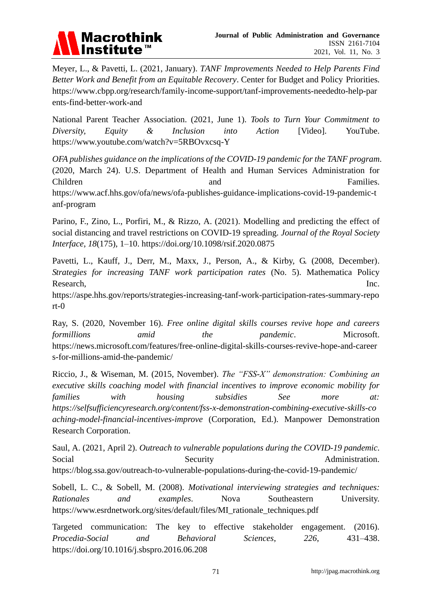

Meyer, L., & Pavetti, L. (2021, January). *TANF Improvements Needed to Help Parents Find Better Work and Benefit from an Equitable Recovery*. Center for Budget and Policy Priorities. [https://www.cbpp.org/research/family-income-support/tanf-improvements-neededt](https://www.cbpp.org/research/family-income-support/tanf-improvements-needed)o-help-par ents-find-better-work-and

National Parent Teacher Association. (2021, June 1). *Tools to Turn Your Commitment to Diversity, Equity & Inclusion into Action* [Video]. YouTube. <https://www.youtube.com/watch?v=5RBOvxcsq-Y>

*OFA publishes guidance on the implications of the COVID-19 pandemic for the TANF program*. (2020, March 24). U.S. Department of Health and Human Services Administration for Children and Families. https://www.acf.hhs.gov/ofa/news/ofa-publishes-guidance-implications-covid-19-pandemic-t anf-program

Parino, F., Zino, L., Porfiri, M., & Rizzo, A. (2021). Modelling and predicting the effect of social distancing and travel restrictions on COVID-19 spreading. *Journal of the Royal Society Interface*, *18*(175), 1–10. https://doi.org/10.1098/rsif.2020.0875

Pavetti, L., Kauff, J., Derr, M., Maxx, J., Person, A., & Kirby, G. (2008, December). *Strategies for increasing TANF work participation rates* (No. 5). Mathematica Policy Research, Inc.

[https://aspe.hhs.gov/reports/strategies-increasing-tanf-work-participation-rates-summary-](https://aspe.hhs.gov/reports/strategies-increasing-tanf-work-participation-rates-summary)repo rt-0

Ray, S. (2020, November 16). *Free online digital skills courses revive hope and careers formillions amid the pandemic*. Microsoft. [https://news.microsoft.com/features/free-online-digital-skills-courses-revive-hope-and-](https://news.microsoft.com/features/free-online-digital-skills-courses-revive-hope-and)career s-for-millions-amid-the-pandemic/

Riccio, J., & Wiseman, M. (2015, November). *The "FSS-X" demonstration: Combining an executive skills coaching model with financial incentives to improve economic mobility for families with housing subsidies See more at: [https://selfsufficiencyresearch.org/content/fss-x-](https://selfsufficiencyresearch.org/content/fss-x)demonstration-combining-executive-skills-co aching-model-financial-incentives-improve* (Corporation, Ed.). Manpower Demonstration Research Corporation.

Saul, A. (2021, April 2). *Outreach to vulnerable populations during the COVID-19 pandemic*. Social Security Security Administration. <https://blog.ssa.gov/outreach-to-vulnerable-populations-during-the-covid-19-pandemic/>

Sobell, L. C., & Sobell, M. (2008). *Motivational interviewing strategies and techniques: Rationales and examples*. Nova Southeastern University. https://www.esrdnetwork.org/sites/default/files/MI\_rationale\_techniques.pdf

Targeted communication: The key to effective stakeholder engagement. (2016). *Procedia-Social and Behavioral Sciences*, *226*, 431–438. <https://doi.org/10.1016/j.sbspro.2016.06.208>